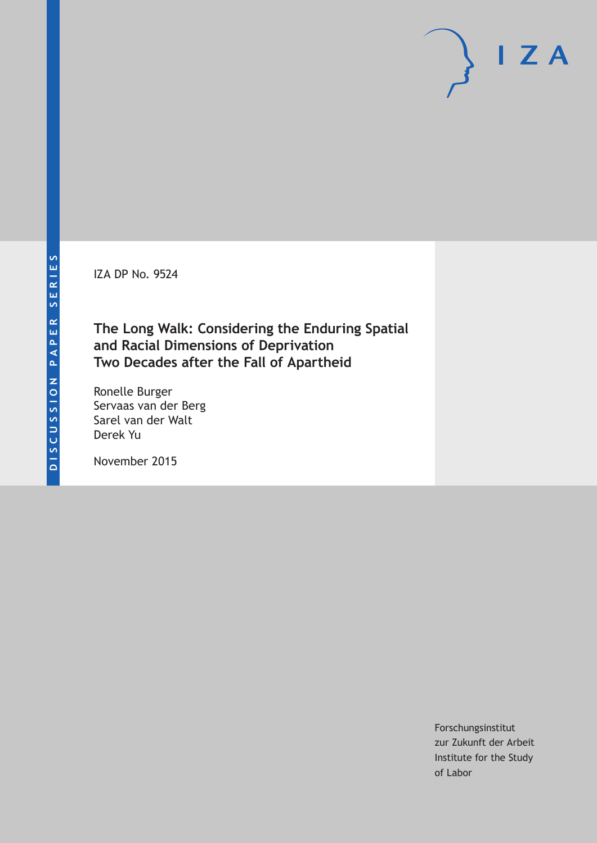IZA DP No. 9524

# **The Long Walk: Considering the Enduring Spatial and Racial Dimensions of Deprivation Two Decades after the Fall of Apartheid**

Ronelle Burger Servaas van der Berg Sarel van der Walt Derek Yu

November 2015

Forschungsinstitut zur Zukunft der Arbeit Institute for the Study of Labor

 $I Z A$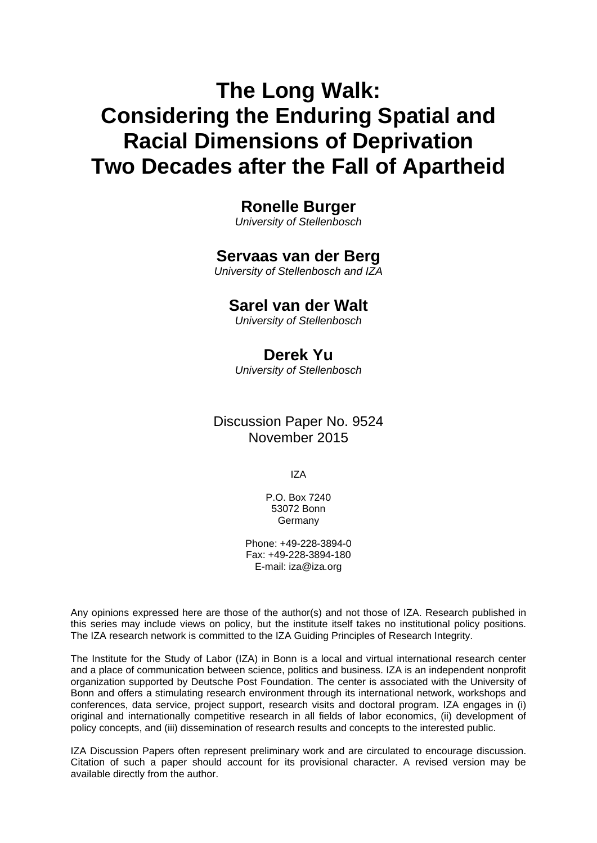# **The Long Walk: Considering the Enduring Spatial and Racial Dimensions of Deprivation Two Decades after the Fall of Apartheid**

### **Ronelle Burger**

*University of Stellenbosch* 

### **Servaas van der Berg**

*University of Stellenbosch and IZA* 

### **Sarel van der Walt**

*University of Stellenbosch*

## **Derek Yu**

*University of Stellenbosch*

### Discussion Paper No. 9524 November 2015

IZA

P.O. Box 7240 53072 Bonn **Germany** 

Phone: +49-228-3894-0 Fax: +49-228-3894-180 E-mail: iza@iza.org

Any opinions expressed here are those of the author(s) and not those of IZA. Research published in this series may include views on policy, but the institute itself takes no institutional policy positions. The IZA research network is committed to the IZA Guiding Principles of Research Integrity.

The Institute for the Study of Labor (IZA) in Bonn is a local and virtual international research center and a place of communication between science, politics and business. IZA is an independent nonprofit organization supported by Deutsche Post Foundation. The center is associated with the University of Bonn and offers a stimulating research environment through its international network, workshops and conferences, data service, project support, research visits and doctoral program. IZA engages in (i) original and internationally competitive research in all fields of labor economics, (ii) development of policy concepts, and (iii) dissemination of research results and concepts to the interested public.

IZA Discussion Papers often represent preliminary work and are circulated to encourage discussion. Citation of such a paper should account for its provisional character. A revised version may be available directly from the author.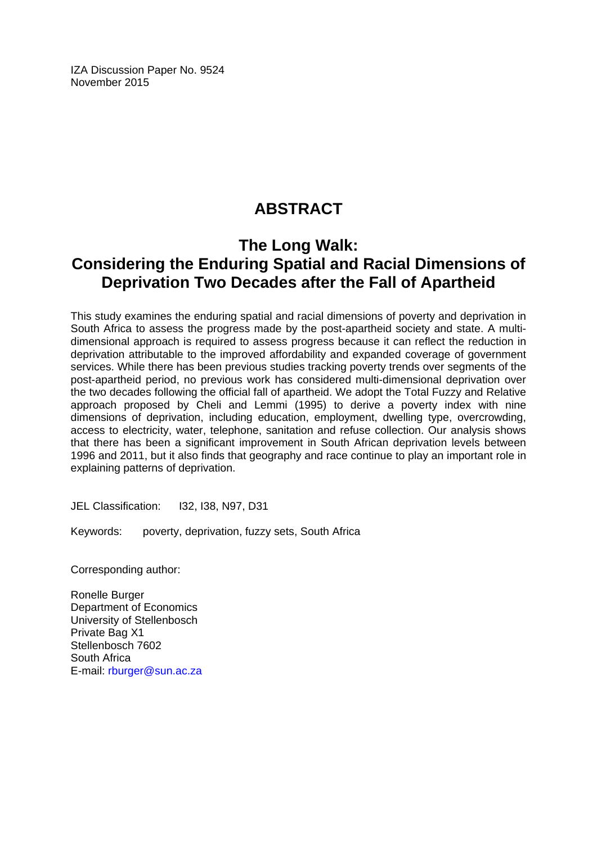IZA Discussion Paper No. 9524 November 2015

# **ABSTRACT**

# **The Long Walk: Considering the Enduring Spatial and Racial Dimensions of Deprivation Two Decades after the Fall of Apartheid**

This study examines the enduring spatial and racial dimensions of poverty and deprivation in South Africa to assess the progress made by the post-apartheid society and state. A multidimensional approach is required to assess progress because it can reflect the reduction in deprivation attributable to the improved affordability and expanded coverage of government services. While there has been previous studies tracking poverty trends over segments of the post-apartheid period, no previous work has considered multi-dimensional deprivation over the two decades following the official fall of apartheid. We adopt the Total Fuzzy and Relative approach proposed by Cheli and Lemmi (1995) to derive a poverty index with nine dimensions of deprivation, including education, employment, dwelling type, overcrowding, access to electricity, water, telephone, sanitation and refuse collection. Our analysis shows that there has been a significant improvement in South African deprivation levels between 1996 and 2011, but it also finds that geography and race continue to play an important role in explaining patterns of deprivation.

JEL Classification: I32, I38, N97, D31

Keywords: poverty, deprivation, fuzzy sets, South Africa

Corresponding author:

Ronelle Burger Department of Economics University of Stellenbosch Private Bag X1 Stellenbosch 7602 South Africa E-mail: rburger@sun.ac.za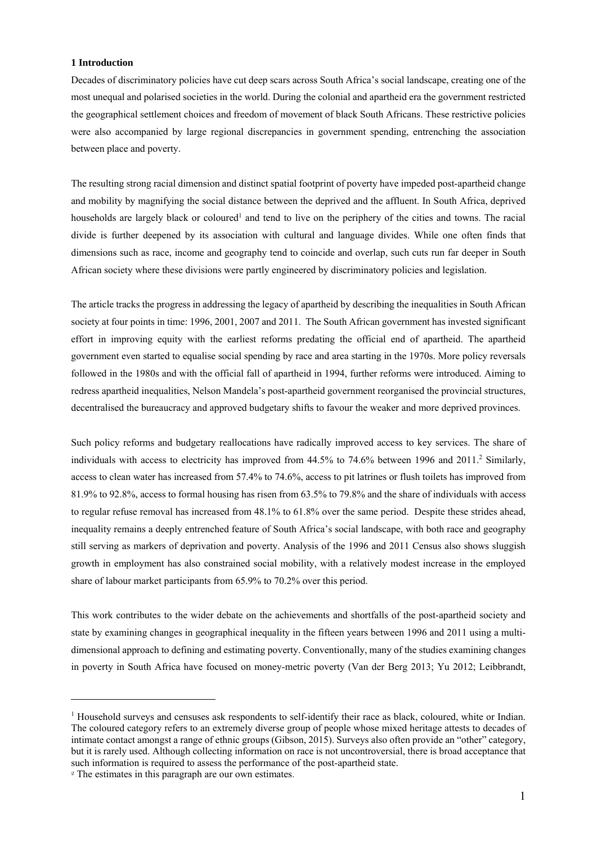#### **1 Introduction**

Decades of discriminatory policies have cut deep scars across South Africa's social landscape, creating one of the most unequal and polarised societies in the world. During the colonial and apartheid era the government restricted the geographical settlement choices and freedom of movement of black South Africans. These restrictive policies were also accompanied by large regional discrepancies in government spending, entrenching the association between place and poverty.

The resulting strong racial dimension and distinct spatial footprint of poverty have impeded post-apartheid change and mobility by magnifying the social distance between the deprived and the affluent. In South Africa, deprived households are largely black or coloured<sup>1</sup> and tend to live on the periphery of the cities and towns. The racial divide is further deepened by its association with cultural and language divides. While one often finds that dimensions such as race, income and geography tend to coincide and overlap, such cuts run far deeper in South African society where these divisions were partly engineered by discriminatory policies and legislation.

The article tracks the progress in addressing the legacy of apartheid by describing the inequalities in South African society at four points in time: 1996, 2001, 2007 and 2011. The South African government has invested significant effort in improving equity with the earliest reforms predating the official end of apartheid. The apartheid government even started to equalise social spending by race and area starting in the 1970s. More policy reversals followed in the 1980s and with the official fall of apartheid in 1994, further reforms were introduced. Aiming to redress apartheid inequalities, Nelson Mandela's post-apartheid government reorganised the provincial structures, decentralised the bureaucracy and approved budgetary shifts to favour the weaker and more deprived provinces.

Such policy reforms and budgetary reallocations have radically improved access to key services. The share of individuals with access to electricity has improved from 44.5% to 74.6% between 1996 and 2011.<sup>2</sup> Similarly, access to clean water has increased from 57.4% to 74.6%, access to pit latrines or flush toilets has improved from 81.9% to 92.8%, access to formal housing has risen from 63.5% to 79.8% and the share of individuals with access to regular refuse removal has increased from 48.1% to 61.8% over the same period. Despite these strides ahead, inequality remains a deeply entrenched feature of South Africa's social landscape, with both race and geography still serving as markers of deprivation and poverty. Analysis of the 1996 and 2011 Census also shows sluggish growth in employment has also constrained social mobility, with a relatively modest increase in the employed share of labour market participants from 65.9% to 70.2% over this period.

This work contributes to the wider debate on the achievements and shortfalls of the post-apartheid society and state by examining changes in geographical inequality in the fifteen years between 1996 and 2011 using a multidimensional approach to defining and estimating poverty. Conventionally, many of the studies examining changes in poverty in South Africa have focused on money-metric poverty (Van der Berg 2013; Yu 2012; Leibbrandt,

<u>.</u>

<sup>&</sup>lt;sup>1</sup> Household surveys and censuses ask respondents to self-identify their race as black, coloured, white or Indian. The coloured category refers to an extremely diverse group of people whose mixed heritage attests to decades of intimate contact amongst a range of ethnic groups (Gibson, 2015). Surveys also often provide an "other" category, but it is rarely used. Although collecting information on race is not uncontroversial, there is broad acceptance that such information is required to assess the performance of the post-apartheid state.

<sup>&</sup>lt;sup>2</sup> The estimates in this paragraph are our own estimates.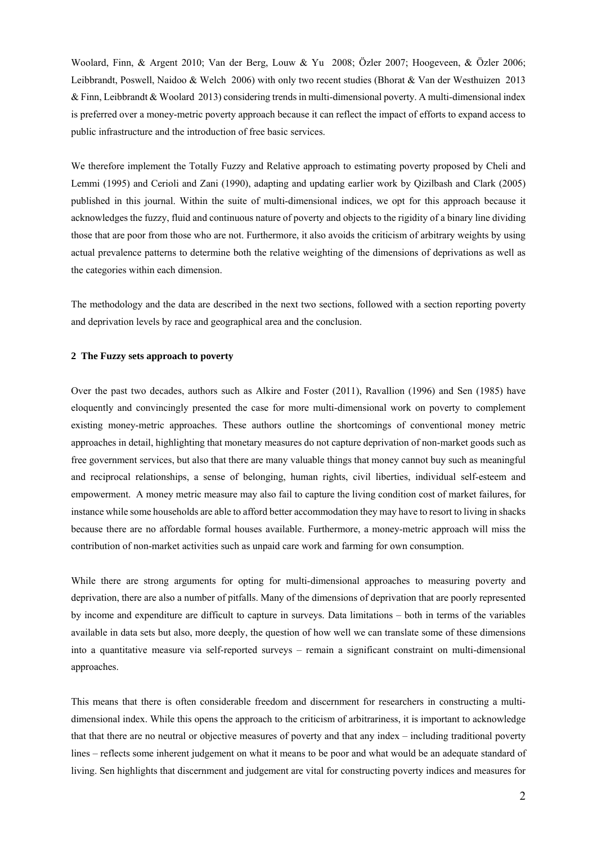Woolard, Finn, & Argent 2010; Van der Berg, Louw & Yu 2008; Özler 2007; Hoogeveen, & Özler 2006; Leibbrandt, Poswell, Naidoo & Welch 2006) with only two recent studies (Bhorat & Van der Westhuizen 2013 & Finn, Leibbrandt & Woolard 2013) considering trends in multi-dimensional poverty. A multi-dimensional index is preferred over a money-metric poverty approach because it can reflect the impact of efforts to expand access to public infrastructure and the introduction of free basic services.

We therefore implement the Totally Fuzzy and Relative approach to estimating poverty proposed by Cheli and Lemmi (1995) and Cerioli and Zani (1990), adapting and updating earlier work by Qizilbash and Clark (2005) published in this journal. Within the suite of multi-dimensional indices, we opt for this approach because it acknowledges the fuzzy, fluid and continuous nature of poverty and objects to the rigidity of a binary line dividing those that are poor from those who are not. Furthermore, it also avoids the criticism of arbitrary weights by using actual prevalence patterns to determine both the relative weighting of the dimensions of deprivations as well as the categories within each dimension.

The methodology and the data are described in the next two sections, followed with a section reporting poverty and deprivation levels by race and geographical area and the conclusion.

#### **2 The Fuzzy sets approach to poverty**

Over the past two decades, authors such as Alkire and Foster (2011), Ravallion (1996) and Sen (1985) have eloquently and convincingly presented the case for more multi-dimensional work on poverty to complement existing money-metric approaches. These authors outline the shortcomings of conventional money metric approaches in detail, highlighting that monetary measures do not capture deprivation of non-market goods such as free government services, but also that there are many valuable things that money cannot buy such as meaningful and reciprocal relationships, a sense of belonging, human rights, civil liberties, individual self-esteem and empowerment. A money metric measure may also fail to capture the living condition cost of market failures, for instance while some households are able to afford better accommodation they may have to resort to living in shacks because there are no affordable formal houses available. Furthermore, a money-metric approach will miss the contribution of non-market activities such as unpaid care work and farming for own consumption.

While there are strong arguments for opting for multi-dimensional approaches to measuring poverty and deprivation, there are also a number of pitfalls. Many of the dimensions of deprivation that are poorly represented by income and expenditure are difficult to capture in surveys. Data limitations – both in terms of the variables available in data sets but also, more deeply, the question of how well we can translate some of these dimensions into a quantitative measure via self-reported surveys – remain a significant constraint on multi-dimensional approaches.

This means that there is often considerable freedom and discernment for researchers in constructing a multidimensional index. While this opens the approach to the criticism of arbitrariness, it is important to acknowledge that that there are no neutral or objective measures of poverty and that any index – including traditional poverty lines – reflects some inherent judgement on what it means to be poor and what would be an adequate standard of living. Sen highlights that discernment and judgement are vital for constructing poverty indices and measures for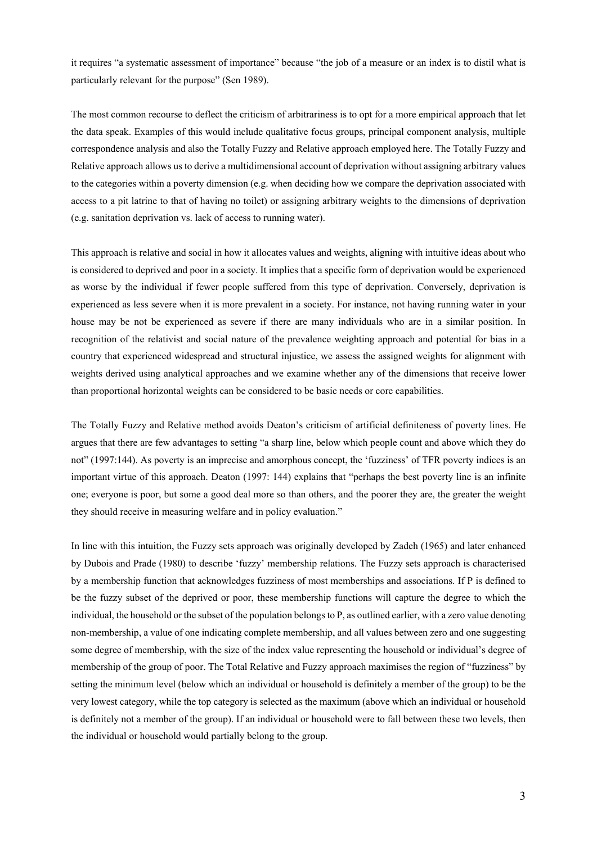it requires "a systematic assessment of importance" because "the job of a measure or an index is to distil what is particularly relevant for the purpose" (Sen 1989).

The most common recourse to deflect the criticism of arbitrariness is to opt for a more empirical approach that let the data speak. Examples of this would include qualitative focus groups, principal component analysis, multiple correspondence analysis and also the Totally Fuzzy and Relative approach employed here. The Totally Fuzzy and Relative approach allows us to derive a multidimensional account of deprivation without assigning arbitrary values to the categories within a poverty dimension (e.g. when deciding how we compare the deprivation associated with access to a pit latrine to that of having no toilet) or assigning arbitrary weights to the dimensions of deprivation (e.g. sanitation deprivation vs. lack of access to running water).

This approach is relative and social in how it allocates values and weights, aligning with intuitive ideas about who is considered to deprived and poor in a society. It implies that a specific form of deprivation would be experienced as worse by the individual if fewer people suffered from this type of deprivation. Conversely, deprivation is experienced as less severe when it is more prevalent in a society. For instance, not having running water in your house may be not be experienced as severe if there are many individuals who are in a similar position. In recognition of the relativist and social nature of the prevalence weighting approach and potential for bias in a country that experienced widespread and structural injustice, we assess the assigned weights for alignment with weights derived using analytical approaches and we examine whether any of the dimensions that receive lower than proportional horizontal weights can be considered to be basic needs or core capabilities.

The Totally Fuzzy and Relative method avoids Deaton's criticism of artificial definiteness of poverty lines. He argues that there are few advantages to setting "a sharp line, below which people count and above which they do not" (1997:144). As poverty is an imprecise and amorphous concept, the 'fuzziness' of TFR poverty indices is an important virtue of this approach. Deaton (1997: 144) explains that "perhaps the best poverty line is an infinite one; everyone is poor, but some a good deal more so than others, and the poorer they are, the greater the weight they should receive in measuring welfare and in policy evaluation."

In line with this intuition, the Fuzzy sets approach was originally developed by Zadeh (1965) and later enhanced by Dubois and Prade (1980) to describe 'fuzzy' membership relations. The Fuzzy sets approach is characterised by a membership function that acknowledges fuzziness of most memberships and associations. If P is defined to be the fuzzy subset of the deprived or poor, these membership functions will capture the degree to which the individual, the household or the subset of the population belongs to P, as outlined earlier, with a zero value denoting non-membership, a value of one indicating complete membership, and all values between zero and one suggesting some degree of membership, with the size of the index value representing the household or individual's degree of membership of the group of poor. The Total Relative and Fuzzy approach maximises the region of "fuzziness" by setting the minimum level (below which an individual or household is definitely a member of the group) to be the very lowest category, while the top category is selected as the maximum (above which an individual or household is definitely not a member of the group). If an individual or household were to fall between these two levels, then the individual or household would partially belong to the group.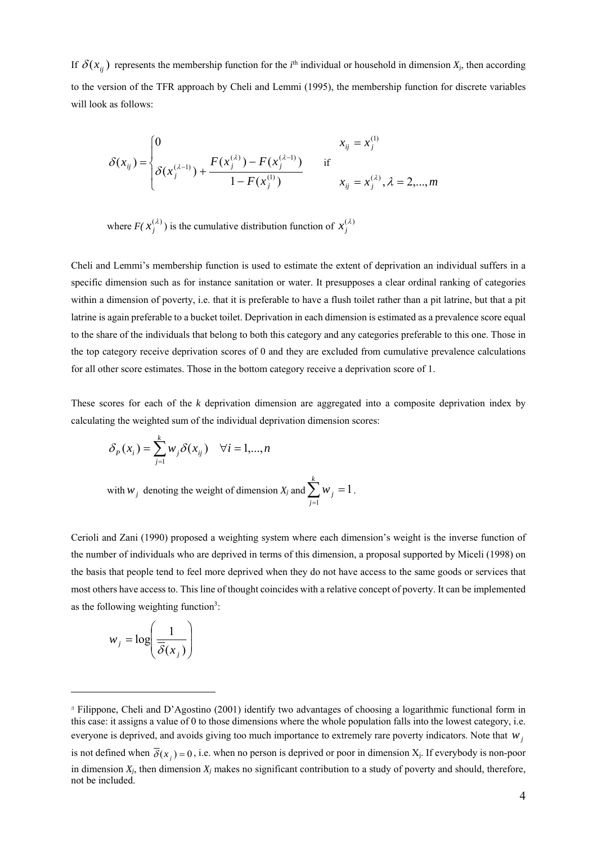If  $\delta(x_{ij})$  represents the membership function for the *i*<sup>th</sup> individual or household in dimension  $X_j$ , then according to the version of the TFR approach by Cheli and Lemmi (1995), the membership function for discrete variables will look as follows:

$$
\delta(x_{ij}) = \begin{cases} 0 & x_{ij} = x_j^{(1)} \\ \delta(x_j^{(\lambda-1)}) + \frac{F(x_j^{(\lambda)}) - F(x_j^{(\lambda-1)})}{1 - F(x_j^{(1)})} & \text{if} \\ x_{ij} = x_j^{(\lambda)}, \lambda = 2, ..., m \end{cases}
$$

where  $F(\mathbf{x}_j^{(\lambda)})$  is the cumulative distribution function of  $\mathbf{x}_j^{(\lambda)}$ 

Cheli and Lemmi's membership function is used to estimate the extent of deprivation an individual suffers in a specific dimension such as for instance sanitation or water. It presupposes a clear ordinal ranking of categories within a dimension of poverty, i.e. that it is preferable to have a flush toilet rather than a pit latrine, but that a pit latrine is again preferable to a bucket toilet. Deprivation in each dimension is estimated as a prevalence score equal to the share of the individuals that belong to both this category and any categories preferable to this one. Those in the top category receive deprivation scores of 0 and they are excluded from cumulative prevalence calculations for all other score estimates. Those in the bottom category receive a deprivation score of 1.

These scores for each of the *k* deprivation dimension are aggregated into a composite deprivation index by calculating the weighted sum of the individual deprivation dimension scores:

$$
\delta_p(x_i) = \sum_{j=1}^k w_j \delta(x_{ij}) \quad \forall i = 1,...,n
$$

with  $w_j$  denoting the weight of dimension  $X_j$  and  $\sum_{j=1}^k w_j =$ *j wj* 1 1.

Cerioli and Zani (1990) proposed a weighting system where each dimension's weight is the inverse function of the number of individuals who are deprived in terms of this dimension, a proposal supported by Miceli (1998) on the basis that people tend to feel more deprived when they do not have access to the same goods or services that most others have access to. This line of thought coincides with a relative concept of poverty. It can be implemented as the following weighting function<sup>3</sup>:

$$
w_j = \log\left(\frac{1}{\overline{\delta}(x_j)}\right)
$$

-

<sup>3</sup> Filippone, Cheli and D'Agostino (2001) identify two advantages of choosing a logarithmic functional form in this case: it assigns a value of 0 to those dimensions where the whole population falls into the lowest category, i.e. everyone is deprived, and avoids giving too much importance to extremely rare poverty indicators. Note that *w<sub>i</sub>* is not defined when  $\overline{\delta}(x_i) = 0$ , i.e. when no person is deprived or poor in dimension  $X_i$ . If everybody is non-poor in dimension  $X_j$ , then dimension  $X_j$  makes no significant contribution to a study of poverty and should, therefore, not be included.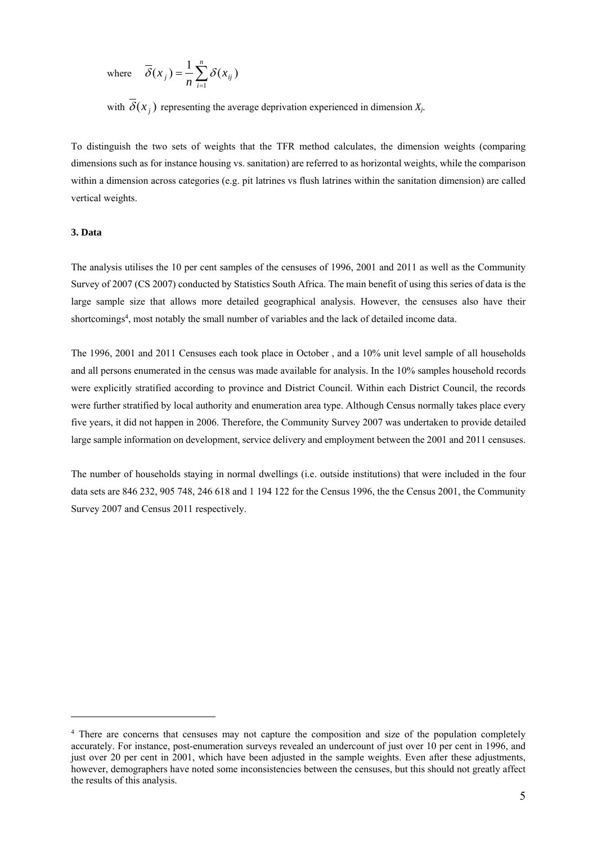where 
$$
\overline{\delta}(x_j) = \frac{1}{n} \sum_{i=1}^n \delta(x_{ij})
$$

with  $\overline{\delta}(x)$  representing the average deprivation experienced in dimension  $X_i$ .

To distinguish the two sets of weights that the TFR method calculates, the dimension weights (comparing dimensions such as for instance housing vs. sanitation) are referred to as horizontal weights, while the comparison within a dimension across categories (e.g. pit latrines vs flush latrines within the sanitation dimension) are called vertical weights.

#### **3. Data**

-

The analysis utilises the 10 per cent samples of the censuses of 1996, 2001 and 2011 as well as the Community Survey of 2007 (CS 2007) conducted by Statistics South Africa. The main benefit of using this series of data is the large sample size that allows more detailed geographical analysis. However, the censuses also have their shortcomings<sup>4</sup>, most notably the small number of variables and the lack of detailed income data.

The 1996, 2001 and 2011 Censuses each took place in October , and a 10% unit level sample of all households and all persons enumerated in the census was made available for analysis. In the 10% samples household records were explicitly stratified according to province and District Council. Within each District Council, the records were further stratified by local authority and enumeration area type. Although Census normally takes place every five years, it did not happen in 2006. Therefore, the Community Survey 2007 was undertaken to provide detailed large sample information on development, service delivery and employment between the 2001 and 2011 censuses.

The number of households staying in normal dwellings (i.e. outside institutions) that were included in the four data sets are 846 232, 905 748, 246 618 and 1 194 122 for the Census 1996, the the Census 2001, the Community Survey 2007 and Census 2011 respectively.

<sup>&</sup>lt;sup>4</sup> There are concerns that censuses may not capture the composition and size of the population completely accurately. For instance, post-enumeration surveys revealed an undercount of just over 10 per cent in 1996, and just over 20 per cent in 2001, which have been adjusted in the sample weights. Even after these adjustments, however, demographers have noted some inconsistencies between the censuses, but this should not greatly affect the results of this analysis.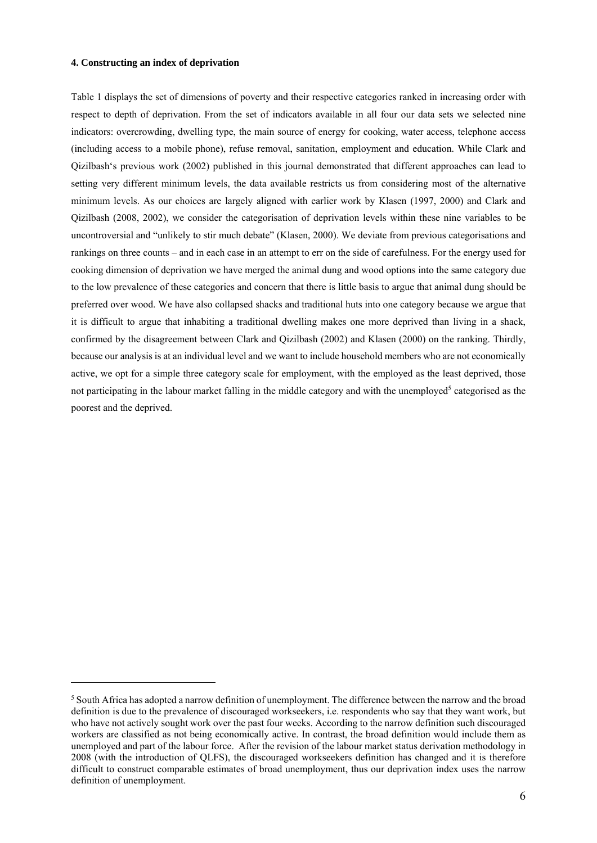#### **4. Constructing an index of deprivation**

<u>.</u>

Table 1 displays the set of dimensions of poverty and their respective categories ranked in increasing order with respect to depth of deprivation. From the set of indicators available in all four our data sets we selected nine indicators: overcrowding, dwelling type, the main source of energy for cooking, water access, telephone access (including access to a mobile phone), refuse removal, sanitation, employment and education. While Clark and Qizilbash's previous work (2002) published in this journal demonstrated that different approaches can lead to setting very different minimum levels, the data available restricts us from considering most of the alternative minimum levels. As our choices are largely aligned with earlier work by Klasen (1997, 2000) and Clark and Qizilbash (2008, 2002), we consider the categorisation of deprivation levels within these nine variables to be uncontroversial and "unlikely to stir much debate" (Klasen, 2000). We deviate from previous categorisations and rankings on three counts – and in each case in an attempt to err on the side of carefulness. For the energy used for cooking dimension of deprivation we have merged the animal dung and wood options into the same category due to the low prevalence of these categories and concern that there is little basis to argue that animal dung should be preferred over wood. We have also collapsed shacks and traditional huts into one category because we argue that it is difficult to argue that inhabiting a traditional dwelling makes one more deprived than living in a shack, confirmed by the disagreement between Clark and Qizilbash (2002) and Klasen (2000) on the ranking. Thirdly, because our analysis is at an individual level and we want to include household members who are not economically active, we opt for a simple three category scale for employment, with the employed as the least deprived, those not participating in the labour market falling in the middle category and with the unemployed<sup>5</sup> categorised as the poorest and the deprived.

<sup>&</sup>lt;sup>5</sup> South Africa has adopted a narrow definition of unemployment. The difference between the narrow and the broad definition is due to the prevalence of discouraged workseekers, i.e. respondents who say that they want work, but who have not actively sought work over the past four weeks. According to the narrow definition such discouraged workers are classified as not being economically active. In contrast, the broad definition would include them as unemployed and part of the labour force. After the revision of the labour market status derivation methodology in 2008 (with the introduction of QLFS), the discouraged workseekers definition has changed and it is therefore difficult to construct comparable estimates of broad unemployment, thus our deprivation index uses the narrow definition of unemployment.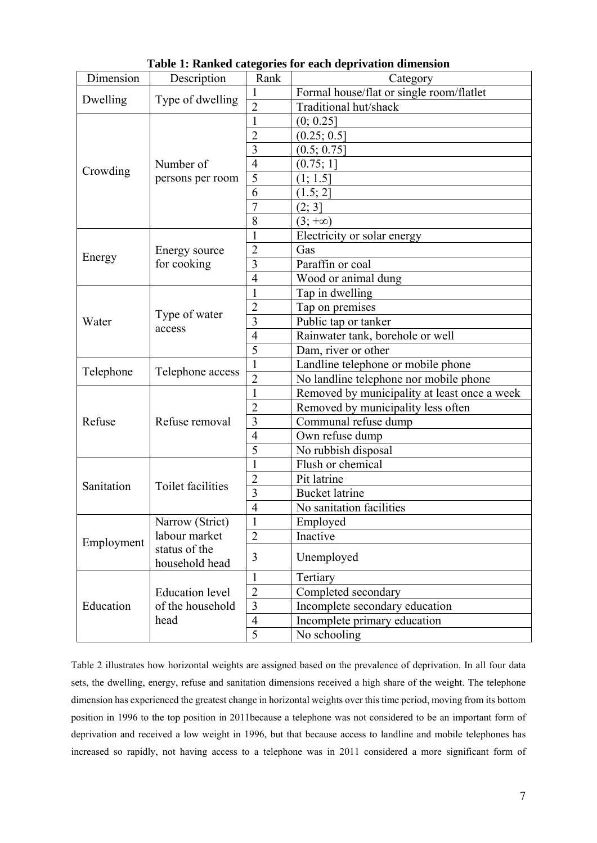|            |                                  |                | Table 1. Kalikeu categories for each deprivation unifersion |  |  |  |  |
|------------|----------------------------------|----------------|-------------------------------------------------------------|--|--|--|--|
| Dimension  | Description                      | Rank           | Category                                                    |  |  |  |  |
| Dwelling   | Type of dwelling                 | 1              | Formal house/flat or single room/flatlet                    |  |  |  |  |
|            |                                  | $\overline{2}$ | Traditional hut/shack                                       |  |  |  |  |
| Crowding   |                                  | 1              | (0; 0.25]                                                   |  |  |  |  |
|            |                                  | $\overline{2}$ | (0.25; 0.5]                                                 |  |  |  |  |
|            |                                  | $\overline{3}$ | (0.5; 0.75]                                                 |  |  |  |  |
|            | Number of                        | $\overline{4}$ | (0.75; 1]                                                   |  |  |  |  |
|            | persons per room                 | 5              | (1; 1.5]                                                    |  |  |  |  |
|            |                                  | 6              | (1.5; 2)                                                    |  |  |  |  |
|            |                                  | $\overline{7}$ | (2; 3]                                                      |  |  |  |  |
|            |                                  | 8              | $(3; +\infty)$                                              |  |  |  |  |
|            |                                  | 1              | Electricity or solar energy                                 |  |  |  |  |
|            | Energy source                    | $\overline{2}$ | Gas                                                         |  |  |  |  |
| Energy     | for cooking                      | $\overline{3}$ | Paraffin or coal                                            |  |  |  |  |
|            |                                  | $\overline{4}$ | Wood or animal dung                                         |  |  |  |  |
|            |                                  | 1              | Tap in dwelling                                             |  |  |  |  |
|            | Type of water<br>access          | $\overline{2}$ | Tap on premises                                             |  |  |  |  |
| Water      |                                  | $\overline{3}$ | Public tap or tanker                                        |  |  |  |  |
|            |                                  | $\overline{4}$ | Rainwater tank, borehole or well                            |  |  |  |  |
|            |                                  | 5              | Dam, river or other                                         |  |  |  |  |
|            |                                  | $\mathbf{1}$   | Landline telephone or mobile phone                          |  |  |  |  |
| Telephone  | Telephone access                 | $\overline{2}$ | No landline telephone nor mobile phone                      |  |  |  |  |
|            |                                  | 1              | Removed by municipality at least once a week                |  |  |  |  |
|            |                                  | $\overline{2}$ | Removed by municipality less often                          |  |  |  |  |
| Refuse     | Refuse removal                   | $\overline{3}$ | Communal refuse dump                                        |  |  |  |  |
|            |                                  | $\overline{4}$ | Own refuse dump                                             |  |  |  |  |
|            |                                  | 5              | No rubbish disposal                                         |  |  |  |  |
|            |                                  | 1              | Flush or chemical                                           |  |  |  |  |
|            |                                  | $\overline{2}$ | Pit latrine                                                 |  |  |  |  |
| Sanitation | Toilet facilities                | $\overline{3}$ | <b>Bucket latrine</b>                                       |  |  |  |  |
|            |                                  | $\overline{4}$ | No sanitation facilities                                    |  |  |  |  |
|            |                                  |                |                                                             |  |  |  |  |
|            | Narrow (Strict)<br>labour market | 1              | Employed                                                    |  |  |  |  |
| Employment |                                  | $\overline{2}$ | Inactive                                                    |  |  |  |  |
|            | status of the<br>household head  | 3              | Unemployed                                                  |  |  |  |  |
|            |                                  | 1              | Tertiary                                                    |  |  |  |  |
|            | <b>Education</b> level           | $\overline{2}$ | Completed secondary                                         |  |  |  |  |
| Education  | of the household                 | $\overline{3}$ | Incomplete secondary education                              |  |  |  |  |
|            | head                             | $\overline{4}$ | Incomplete primary education                                |  |  |  |  |
|            |                                  | $\overline{5}$ | No schooling                                                |  |  |  |  |

**Table 1: Ranked categories for each deprivation dimension** 

Table 2 illustrates how horizontal weights are assigned based on the prevalence of deprivation. In all four data sets, the dwelling, energy, refuse and sanitation dimensions received a high share of the weight. The telephone dimension has experienced the greatest change in horizontal weights over this time period, moving from its bottom position in 1996 to the top position in 2011because a telephone was not considered to be an important form of deprivation and received a low weight in 1996, but that because access to landline and mobile telephones has increased so rapidly, not having access to a telephone was in 2011 considered a more significant form of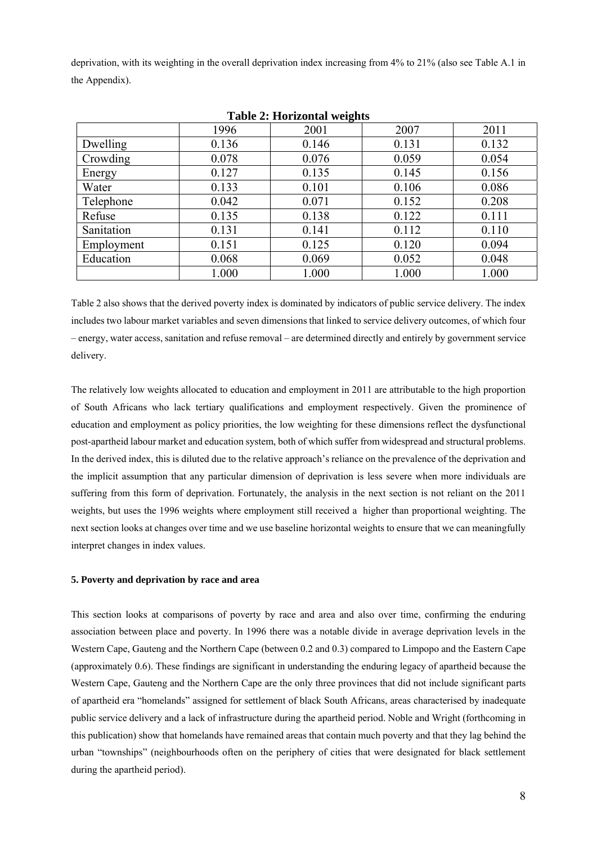deprivation, with its weighting in the overall deprivation index increasing from 4% to 21% (also see Table A.1 in the Appendix).

| Table 2; fromzomal weights |       |       |       |       |  |  |  |  |  |  |
|----------------------------|-------|-------|-------|-------|--|--|--|--|--|--|
|                            | 1996  | 2001  | 2007  | 2011  |  |  |  |  |  |  |
| Dwelling                   | 0.136 | 0.146 | 0.131 | 0.132 |  |  |  |  |  |  |
| Crowding                   | 0.078 | 0.076 | 0.059 | 0.054 |  |  |  |  |  |  |
| Energy                     | 0.127 | 0.135 | 0.145 | 0.156 |  |  |  |  |  |  |
| Water                      | 0.133 | 0.101 | 0.106 | 0.086 |  |  |  |  |  |  |
| Telephone                  | 0.042 | 0.071 | 0.152 | 0.208 |  |  |  |  |  |  |
| Refuse                     | 0.135 | 0.138 | 0.122 | 0.111 |  |  |  |  |  |  |
| Sanitation                 | 0.131 | 0.141 | 0.112 | 0.110 |  |  |  |  |  |  |
| Employment                 | 0.151 | 0.125 | 0.120 | 0.094 |  |  |  |  |  |  |
| Education                  | 0.068 | 0.069 | 0.052 | 0.048 |  |  |  |  |  |  |
|                            | 1.000 | 1.000 | 1.000 | 1.000 |  |  |  |  |  |  |

|  | <b>Table 2: Horizontal weights</b> |  |
|--|------------------------------------|--|
|--|------------------------------------|--|

Table 2 also shows that the derived poverty index is dominated by indicators of public service delivery. The index includes two labour market variables and seven dimensions that linked to service delivery outcomes, of which four – energy, water access, sanitation and refuse removal – are determined directly and entirely by government service delivery.

The relatively low weights allocated to education and employment in 2011 are attributable to the high proportion of South Africans who lack tertiary qualifications and employment respectively. Given the prominence of education and employment as policy priorities, the low weighting for these dimensions reflect the dysfunctional post-apartheid labour market and education system, both of which suffer from widespread and structural problems. In the derived index, this is diluted due to the relative approach's reliance on the prevalence of the deprivation and the implicit assumption that any particular dimension of deprivation is less severe when more individuals are suffering from this form of deprivation. Fortunately, the analysis in the next section is not reliant on the 2011 weights, but uses the 1996 weights where employment still received a higher than proportional weighting. The next section looks at changes over time and we use baseline horizontal weights to ensure that we can meaningfully interpret changes in index values.

#### **5. Poverty and deprivation by race and area**

This section looks at comparisons of poverty by race and area and also over time, confirming the enduring association between place and poverty. In 1996 there was a notable divide in average deprivation levels in the Western Cape, Gauteng and the Northern Cape (between 0.2 and 0.3) compared to Limpopo and the Eastern Cape (approximately 0.6). These findings are significant in understanding the enduring legacy of apartheid because the Western Cape, Gauteng and the Northern Cape are the only three provinces that did not include significant parts of apartheid era "homelands" assigned for settlement of black South Africans, areas characterised by inadequate public service delivery and a lack of infrastructure during the apartheid period. Noble and Wright (forthcoming in this publication) show that homelands have remained areas that contain much poverty and that they lag behind the urban "townships" (neighbourhoods often on the periphery of cities that were designated for black settlement during the apartheid period).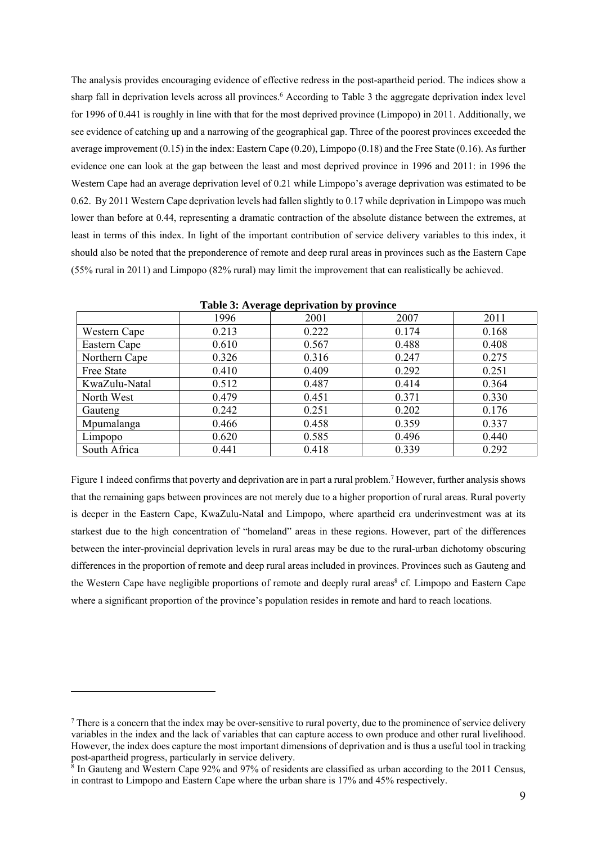The analysis provides encouraging evidence of effective redress in the post-apartheid period. The indices show a sharp fall in deprivation levels across all provinces.<sup>6</sup> According to Table 3 the aggregate deprivation index level for 1996 of 0.441 is roughly in line with that for the most deprived province (Limpopo) in 2011. Additionally, we see evidence of catching up and a narrowing of the geographical gap. Three of the poorest provinces exceeded the average improvement (0.15) in the index: Eastern Cape (0.20), Limpopo (0.18) and the Free State (0.16). As further evidence one can look at the gap between the least and most deprived province in 1996 and 2011: in 1996 the Western Cape had an average deprivation level of 0.21 while Limpopo's average deprivation was estimated to be 0.62. By 2011 Western Cape deprivation levels had fallen slightly to 0.17 while deprivation in Limpopo was much lower than before at 0.44, representing a dramatic contraction of the absolute distance between the extremes, at least in terms of this index. In light of the important contribution of service delivery variables to this index, it should also be noted that the preponderence of remote and deep rural areas in provinces such as the Eastern Cape (55% rural in 2011) and Limpopo (82% rural) may limit the improvement that can realistically be achieved.

|               |       | ≅ ت<br>~ ∎ |       |       |
|---------------|-------|------------|-------|-------|
|               | 1996  | 2001       | 2007  | 2011  |
| Western Cape  | 0.213 | 0.222      | 0.174 | 0.168 |
| Eastern Cape  | 0.610 | 0.567      | 0.488 | 0.408 |
| Northern Cape | 0.326 | 0.316      | 0.247 | 0.275 |
| Free State    | 0.410 | 0.409      | 0.292 | 0.251 |
| KwaZulu-Natal | 0.512 | 0.487      | 0.414 | 0.364 |
| North West    | 0.479 | 0.451      | 0.371 | 0.330 |
| Gauteng       | 0.242 | 0.251      | 0.202 | 0.176 |
| Mpumalanga    | 0.466 | 0.458      | 0.359 | 0.337 |
| Limpopo       | 0.620 | 0.585      | 0.496 | 0.440 |
| South Africa  | 0.441 | 0.418      | 0.339 | 0.292 |

**Table 3: Average deprivation by province** 

Figure 1 indeed confirms that poverty and deprivation are in part a rural problem.<sup>7</sup> However, further analysis shows that the remaining gaps between provinces are not merely due to a higher proportion of rural areas. Rural poverty is deeper in the Eastern Cape, KwaZulu-Natal and Limpopo, where apartheid era underinvestment was at its starkest due to the high concentration of "homeland" areas in these regions. However, part of the differences between the inter-provincial deprivation levels in rural areas may be due to the rural-urban dichotomy obscuring differences in the proportion of remote and deep rural areas included in provinces. Provinces such as Gauteng and the Western Cape have negligible proportions of remote and deeply rural areas<sup>8</sup> cf. Limpopo and Eastern Cape where a significant proportion of the province's population resides in remote and hard to reach locations.

<u>.</u>

 $<sup>7</sup>$  There is a concern that the index may be over-sensitive to rural poverty, due to the prominence of service delivery</sup> variables in the index and the lack of variables that can capture access to own produce and other rural livelihood. However, the index does capture the most important dimensions of deprivation and is thus a useful tool in tracking post-apartheid progress, particularly in service delivery.

<sup>&</sup>lt;sup>8</sup> In Gauteng and Western Cape 92% and 97% of residents are classified as urban according to the 2011 Census, in contrast to Limpopo and Eastern Cape where the urban share is 17% and 45% respectively.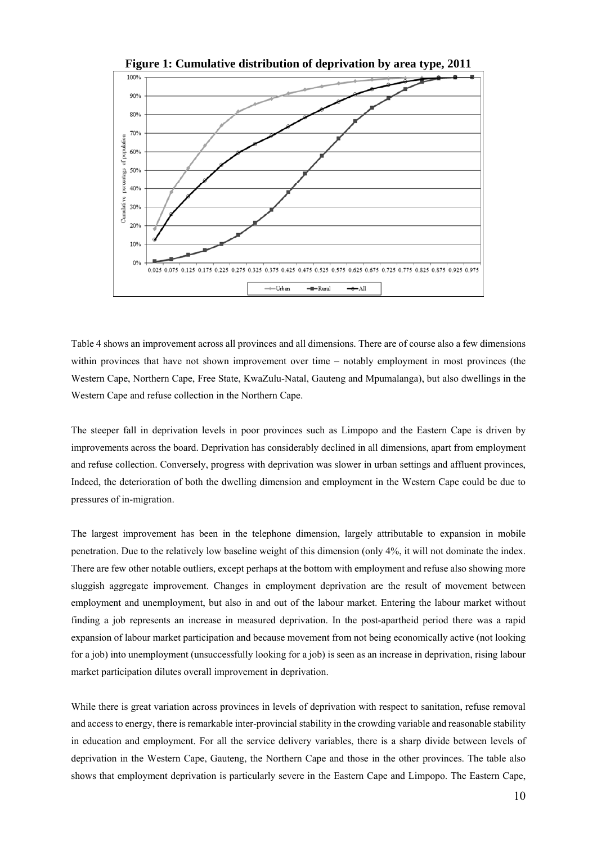

Table 4 shows an improvement across all provinces and all dimensions. There are of course also a few dimensions within provinces that have not shown improvement over time – notably employment in most provinces (the Western Cape, Northern Cape, Free State, KwaZulu-Natal, Gauteng and Mpumalanga), but also dwellings in the Western Cape and refuse collection in the Northern Cape.

The steeper fall in deprivation levels in poor provinces such as Limpopo and the Eastern Cape is driven by improvements across the board. Deprivation has considerably declined in all dimensions, apart from employment and refuse collection. Conversely, progress with deprivation was slower in urban settings and affluent provinces, Indeed, the deterioration of both the dwelling dimension and employment in the Western Cape could be due to pressures of in-migration.

The largest improvement has been in the telephone dimension, largely attributable to expansion in mobile penetration. Due to the relatively low baseline weight of this dimension (only 4%, it will not dominate the index. There are few other notable outliers, except perhaps at the bottom with employment and refuse also showing more sluggish aggregate improvement. Changes in employment deprivation are the result of movement between employment and unemployment, but also in and out of the labour market. Entering the labour market without finding a job represents an increase in measured deprivation. In the post-apartheid period there was a rapid expansion of labour market participation and because movement from not being economically active (not looking for a job) into unemployment (unsuccessfully looking for a job) is seen as an increase in deprivation, rising labour market participation dilutes overall improvement in deprivation.

While there is great variation across provinces in levels of deprivation with respect to sanitation, refuse removal and access to energy, there is remarkable inter-provincial stability in the crowding variable and reasonable stability in education and employment. For all the service delivery variables, there is a sharp divide between levels of deprivation in the Western Cape, Gauteng, the Northern Cape and those in the other provinces. The table also shows that employment deprivation is particularly severe in the Eastern Cape and Limpopo. The Eastern Cape,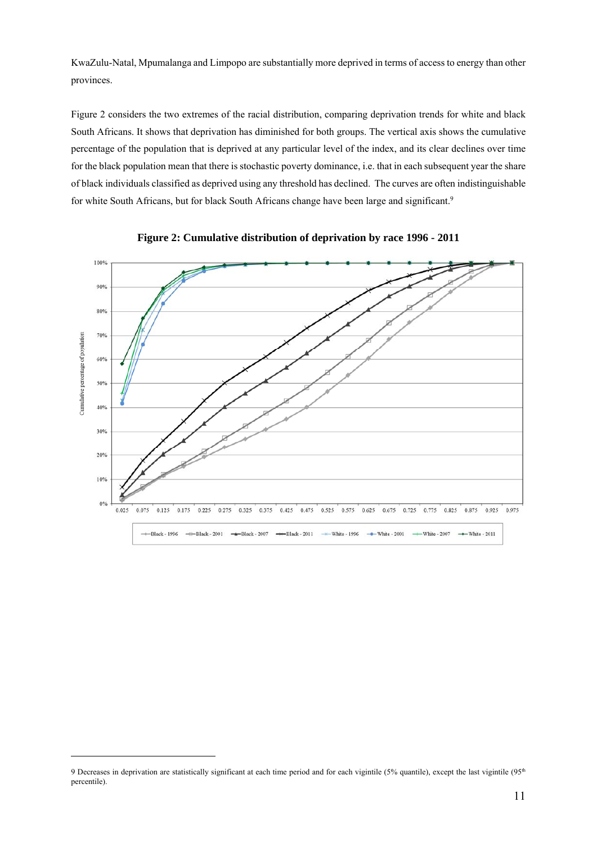KwaZulu-Natal, Mpumalanga and Limpopo are substantially more deprived in terms of access to energy than other provinces.

Figure 2 considers the two extremes of the racial distribution, comparing deprivation trends for white and black South Africans. It shows that deprivation has diminished for both groups. The vertical axis shows the cumulative percentage of the population that is deprived at any particular level of the index, and its clear declines over time for the black population mean that there is stochastic poverty dominance, i.e. that in each subsequent year the share of black individuals classified as deprived using any threshold has declined. The curves are often indistinguishable for white South Africans, but for black South Africans change have been large and significant.<sup>9</sup>





-

<sup>9</sup> Decreases in deprivation are statistically significant at each time period and for each vigintile (5% quantile), except the last vigintile (95<sup>th</sup> percentile).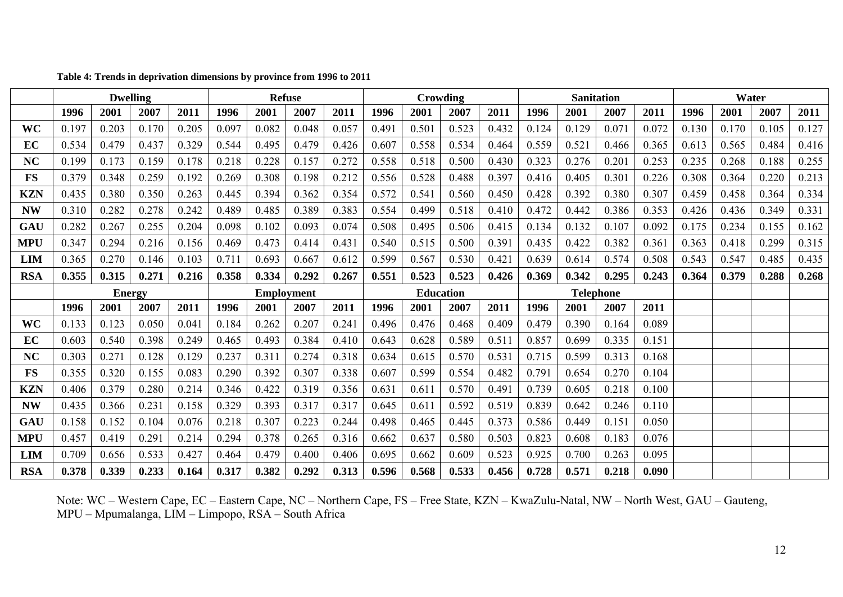|            | <b>Dwelling</b> |               |       |       | <b>Refuse</b>     |       |       | Crowding         |       |       | <b>Sanitation</b> |       |       |       | Water |       |       |       |       |       |
|------------|-----------------|---------------|-------|-------|-------------------|-------|-------|------------------|-------|-------|-------------------|-------|-------|-------|-------|-------|-------|-------|-------|-------|
|            | 1996            | 2001          | 2007  | 2011  | 1996              | 2001  | 2007  | 2011             | 1996  | 2001  | 2007              | 2011  | 1996  | 2001  | 2007  | 2011  | 1996  | 2001  | 2007  | 2011  |
| WC         | 0.197           | 0.203         | 0.170 | 0.205 | 0.097             | 0.082 | 0.048 | 0.057            | 0.49  | 0.501 | 0.523             | 0.432 | 0.124 | 0.129 | 0.071 | 0.072 | 0.130 | 0.170 | 0.105 | 0.127 |
| EC         | 0.534           | 0.479         | 0.437 | 0.329 | 0.544             | 0.495 | 0.479 | 0.426            | 0.607 | 0.558 | 0.534             | 0.464 | 0.559 | 0.521 | 0.466 | 0.365 | 0.613 | 0.565 | 0.484 | 0.416 |
| NC         | 0.199           | 0.173         | 0.159 | 0.178 | 0.218             | 0.228 | 0.157 | 0.272            | 0.558 | 0.518 | 0.500             | 0.430 | 0.323 | 0.276 | 0.201 | 0.253 | 0.235 | 0.268 | 0.188 | 0.255 |
| <b>FS</b>  | 0.379           | 0.348         | 0.259 | 0.192 | 0.269             | 0.308 | 0.198 | 0.212            | 0.556 | 0.528 | 0.488             | 0.397 | 0.416 | 0.405 | 0.301 | 0.226 | 0.308 | 0.364 | 0.220 | 0.213 |
| <b>KZN</b> | 0.435           | 0.380         | 0.350 | 0.263 | 0.445             | 0.394 | 0.362 | 0.354            | 0.572 | 0.541 | 0.560             | 0.450 | 0.428 | 0.392 | 0.380 | 0.307 | 0.459 | 0.458 | 0.364 | 0.334 |
| <b>NW</b>  | 0.310           | 0.282         | 0.278 | 0.242 | 0.489             | 0.485 | 0.389 | 0.383            | 0.554 | 0.499 | 0.518             | 0.410 | 0.472 | 0.442 | 0.386 | 0.353 | 0.426 | 0.436 | 0.349 | 0.331 |
| GAU        | 0.282           | 0.267         | 0.255 | 0.204 | 0.098             | 0.102 | 0.093 | 0.074            | 0.508 | 0.495 | 0.506             | 0.415 | 0.134 | 0.132 | 0.107 | 0.092 | 0.175 | 0.234 | 0.155 | 0.162 |
| <b>MPU</b> | 0.347           | 0.294         | 0.216 | 0.156 | 0.469             | 0.473 | 0.414 | 0.431            | 0.540 | 0.515 | 0.500             | 0.391 | 0.435 | 0.422 | 0.382 | 0.361 | 0.363 | 0.418 | 0.299 | 0.315 |
| LIM        | 0.365           | 0.270         | 0.146 | 0.103 | 0.711             | 0.693 | 0.667 | 0.612            | 0.599 | 0.567 | 0.530             | 0.421 | 0.639 | 0.614 | 0.574 | 0.508 | 0.543 | 0.547 | 0.485 | 0.435 |
| <b>RSA</b> | 0.355           | 0.315         | 0.271 | 0.216 | 0.358             | 0.334 | 0.292 | 0.267            | 0.551 | 0.523 | 0.523             | 0.426 | 0.369 | 0.342 | 0.295 | 0.243 | 0.364 | 0.379 | 0.288 | 0.268 |
|            |                 | <b>Energy</b> |       |       | <b>Employment</b> |       |       | <b>Education</b> |       |       | <b>Telephone</b>  |       |       |       |       |       |       |       |       |       |
|            | 1996            | 2001          | 2007  | 2011  | 1996              | 2001  | 2007  | 2011             | 1996  | 2001  | 2007              | 2011  | 1996  | 2001  | 2007  | 2011  |       |       |       |       |
| WC         | 0.133           | 0.123         | 0.050 | 0.041 | 0.184             | 0.262 | 0.207 | 0.241            | 0.496 | 0.476 | 0.468             | 0.409 | 0.479 | 0.390 | 0.164 | 0.089 |       |       |       |       |
| EC         | 0.603           | 0.540         | 0.398 | 0.249 | 0.465             | 0.493 | 0.384 | 0.410            | 0.643 | 0.628 | 0.589             | 0.511 | 0.857 | 0.699 | 0.335 | 0.151 |       |       |       |       |
| NC         | 0.303           | 0.271         | 0.128 | 0.129 | 0.237             | 0.311 | 0.274 | 0.318            | 0.634 | 0.615 | 0.570             | 0.531 | 0.715 | 0.599 | 0.313 | 0.168 |       |       |       |       |
| <b>FS</b>  | 0.355           | 0.320         | 0.155 | 0.083 | 0.290             | 0.392 | 0.307 | 0.338            | 0.607 | 0.599 | 0.554             | 0.482 | 0.791 | 0.654 | 0.270 | 0.104 |       |       |       |       |
| <b>KZN</b> | 0.406           | 0.379         | 0.280 | 0.214 | 0.346             | 0.422 | 0.319 | 0.356            | 0.631 | 0.611 | 0.570             | 0.491 | 0.739 | 0.605 | 0.218 | 0.100 |       |       |       |       |
| <b>NW</b>  | 0.435           | 0.366         | 0.231 | 0.158 | 0.329             | 0.393 | 0.317 | 0.317            | 0.645 | 0.611 | 0.592             | 0.519 | 0.839 | 0.642 | 0.246 | 0.110 |       |       |       |       |
| GAU        | 0.158           | 0.152         | 0.104 | 0.076 | 0.218             | 0.307 | 0.223 | 0.244            | 0.498 | 0.465 | 0.445             | 0.373 | 0.586 | 0.449 | 0.151 | 0.050 |       |       |       |       |
| <b>MPU</b> | 0.457           | 0.419         | 0.291 | 0.214 | 0.294             | 0.378 | 0.265 | 0.316            | 0.662 | 0.637 | 0.580             | 0.503 | 0.823 | 0.608 | 0.183 | 0.076 |       |       |       |       |
| <b>LIM</b> | 0.709           | 0.656         | 0.533 | 0.427 | 0.464             | 0.479 | 0.400 | 0.406            | 0.695 | 0.662 | 0.609             | 0.523 | 0.925 | 0.700 | 0.263 | 0.095 |       |       |       |       |
| <b>RSA</b> | 0.378           | 0.339         | 0.233 | 0.164 | 0.317             | 0.382 | 0.292 | 0.313            | 0.596 | 0.568 | 0.533             | 0.456 | 0.728 | 0.571 | 0.218 | 0.090 |       |       |       |       |

**Table 4: Trends in deprivation dimensions by province from 1996 to 2011**

Note: WC – Western Cape, EC – Eastern Cape, NC – Northern Cape, FS – Free State, KZN – KwaZulu-Natal, NW – North West, GAU – Gauteng, MPU – Mpumalanga, LIM – Limpopo, RSA – South Africa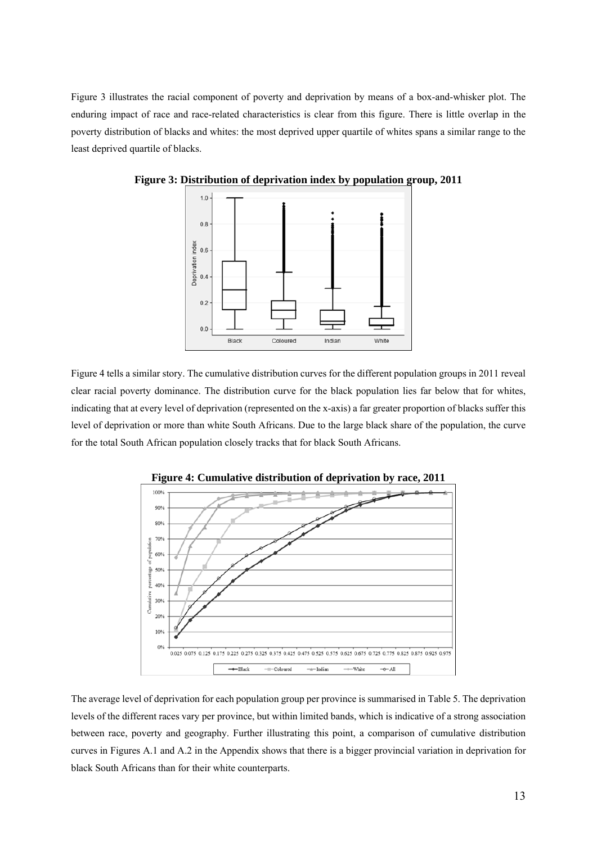Figure 3 illustrates the racial component of poverty and deprivation by means of a box-and-whisker plot. The enduring impact of race and race-related characteristics is clear from this figure. There is little overlap in the poverty distribution of blacks and whites: the most deprived upper quartile of whites spans a similar range to the least deprived quartile of blacks.



**Figure 3: Distribution of deprivation index by population group, 2011** 

Figure 4 tells a similar story. The cumulative distribution curves for the different population groups in 2011 reveal clear racial poverty dominance. The distribution curve for the black population lies far below that for whites, indicating that at every level of deprivation (represented on the x-axis) a far greater proportion of blacks suffer this level of deprivation or more than white South Africans. Due to the large black share of the population, the curve for the total South African population closely tracks that for black South Africans.





The average level of deprivation for each population group per province is summarised in Table 5. The deprivation levels of the different races vary per province, but within limited bands, which is indicative of a strong association between race, poverty and geography. Further illustrating this point, a comparison of cumulative distribution curves in Figures A.1 and A.2 in the Appendix shows that there is a bigger provincial variation in deprivation for black South Africans than for their white counterparts.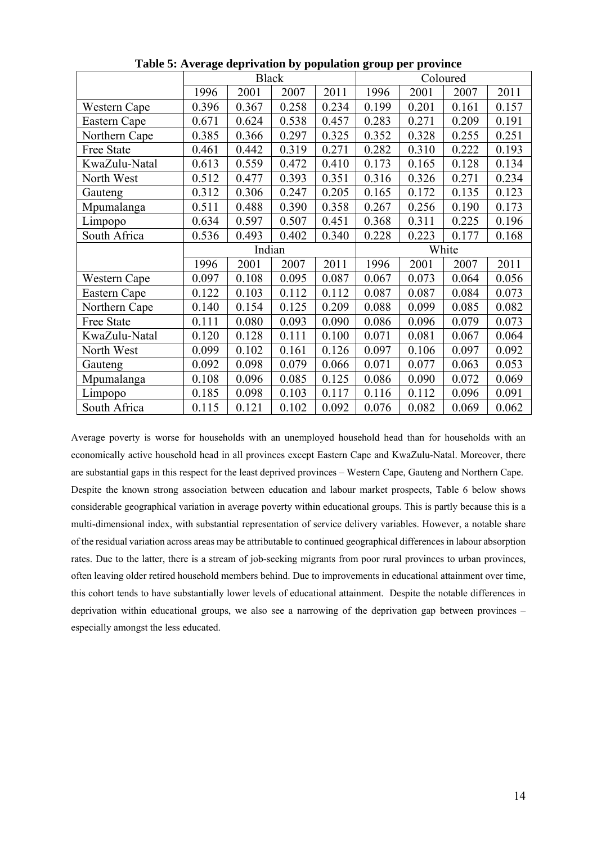|               |        | <b>Black</b> |       |       | Coloured |       |       |       |  |
|---------------|--------|--------------|-------|-------|----------|-------|-------|-------|--|
|               | 1996   | 2001         | 2007  | 2011  | 1996     | 2001  | 2007  | 2011  |  |
| Western Cape  | 0.396  | 0.367        | 0.258 | 0.234 | 0.199    | 0.201 | 0.161 | 0.157 |  |
| Eastern Cape  | 0.671  | 0.624        | 0.538 | 0.457 | 0.283    | 0.271 | 0.209 | 0.191 |  |
| Northern Cape | 0.385  | 0.366        | 0.297 | 0.325 | 0.352    | 0.328 | 0.255 | 0.251 |  |
| Free State    | 0.461  | 0.442        | 0.319 | 0.271 | 0.282    | 0.310 | 0.222 | 0.193 |  |
| KwaZulu-Natal | 0.613  | 0.559        | 0.472 | 0.410 | 0.173    | 0.165 | 0.128 | 0.134 |  |
| North West    | 0.512  | 0.477        | 0.393 | 0.351 | 0.316    | 0.326 | 0.271 | 0.234 |  |
| Gauteng       | 0.312  | 0.306        | 0.247 | 0.205 | 0.165    | 0.172 | 0.135 | 0.123 |  |
| Mpumalanga    | 0.511  | 0.488        | 0.390 | 0.358 | 0.267    | 0.256 | 0.190 | 0.173 |  |
| Limpopo       | 0.634  | 0.597        | 0.507 | 0.451 | 0.368    | 0.311 | 0.225 | 0.196 |  |
| South Africa  | 0.536  | 0.493        | 0.402 | 0.340 | 0.228    | 0.223 | 0.177 | 0.168 |  |
|               | Indian |              |       |       | White    |       |       |       |  |
|               |        |              |       |       |          |       |       |       |  |
|               | 1996   | 2001         | 2007  | 2011  | 1996     | 2001  | 2007  | 2011  |  |
| Western Cape  | 0.097  | 0.108        | 0.095 | 0.087 | 0.067    | 0.073 | 0.064 | 0.056 |  |
| Eastern Cape  | 0.122  | 0.103        | 0.112 | 0.112 | 0.087    | 0.087 | 0.084 | 0.073 |  |
| Northern Cape | 0.140  | 0.154        | 0.125 | 0.209 | 0.088    | 0.099 | 0.085 | 0.082 |  |
| Free State    | 0.111  | 0.080        | 0.093 | 0.090 | 0.086    | 0.096 | 0.079 | 0.073 |  |
| KwaZulu-Natal | 0.120  | 0.128        | 0.111 | 0.100 | 0.071    | 0.081 | 0.067 | 0.064 |  |
| North West    | 0.099  | 0.102        | 0.161 | 0.126 | 0.097    | 0.106 | 0.097 | 0.092 |  |
| Gauteng       | 0.092  | 0.098        | 0.079 | 0.066 | 0.071    | 0.077 | 0.063 | 0.053 |  |
| Mpumalanga    | 0.108  | 0.096        | 0.085 | 0.125 | 0.086    | 0.090 | 0.072 | 0.069 |  |
| Limpopo       | 0.185  | 0.098        | 0.103 | 0.117 | 0.116    | 0.112 | 0.096 | 0.091 |  |

**Table 5: Average deprivation by population group per province** 

Average poverty is worse for households with an unemployed household head than for households with an economically active household head in all provinces except Eastern Cape and KwaZulu-Natal. Moreover, there are substantial gaps in this respect for the least deprived provinces – Western Cape, Gauteng and Northern Cape. Despite the known strong association between education and labour market prospects, Table 6 below shows considerable geographical variation in average poverty within educational groups. This is partly because this is a multi-dimensional index, with substantial representation of service delivery variables. However, a notable share of the residual variation across areas may be attributable to continued geographical differences in labour absorption rates. Due to the latter, there is a stream of job-seeking migrants from poor rural provinces to urban provinces, often leaving older retired household members behind. Due to improvements in educational attainment over time, this cohort tends to have substantially lower levels of educational attainment. Despite the notable differences in deprivation within educational groups, we also see a narrowing of the deprivation gap between provinces – especially amongst the less educated.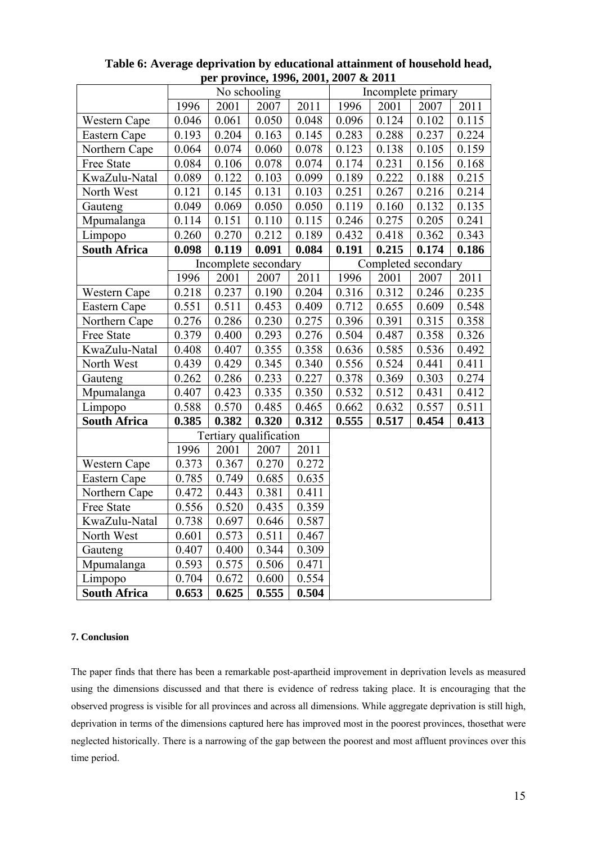| $\mu$ , $\mu$ ovince, 1990, 2001, 2007 & 2011<br>No schooling |       |                        |       |       |                    |                     |       |       |  |  |
|---------------------------------------------------------------|-------|------------------------|-------|-------|--------------------|---------------------|-------|-------|--|--|
|                                                               |       |                        |       |       | Incomplete primary |                     |       |       |  |  |
|                                                               | 1996  | 2001                   | 2007  | 2011  | 1996               | 2001                | 2007  | 2011  |  |  |
| Western Cape                                                  | 0.046 | 0.061                  | 0.050 | 0.048 | 0.096              | 0.124               | 0.102 | 0.115 |  |  |
| Eastern Cape                                                  | 0.193 | 0.204                  | 0.163 | 0.145 | 0.283              | 0.288               | 0.237 | 0.224 |  |  |
| Northern Cape                                                 | 0.064 | 0.074                  | 0.060 | 0.078 | 0.123              | 0.138               | 0.105 | 0.159 |  |  |
| Free State                                                    | 0.084 | 0.106                  | 0.078 | 0.074 | 0.174              | 0.231               | 0.156 | 0.168 |  |  |
| KwaZulu-Natal                                                 | 0.089 | 0.122                  | 0.103 | 0.099 | 0.189              | 0.222               | 0.188 | 0.215 |  |  |
| North West                                                    | 0.121 | 0.145                  | 0.131 | 0.103 | 0.251              | 0.267               | 0.216 | 0.214 |  |  |
| Gauteng                                                       | 0.049 | 0.069                  | 0.050 | 0.050 | 0.119              | 0.160               | 0.132 | 0.135 |  |  |
| Mpumalanga                                                    | 0.114 | 0.151                  | 0.110 | 0.115 | 0.246              | 0.275               | 0.205 | 0.241 |  |  |
| Limpopo                                                       | 0.260 | 0.270                  | 0.212 | 0.189 | 0.432              | 0.418               | 0.362 | 0.343 |  |  |
| <b>South Africa</b>                                           | 0.098 | 0.119                  | 0.091 | 0.084 | 0.191              | 0.215               | 0.174 | 0.186 |  |  |
|                                                               |       | Incomplete secondary   |       |       |                    | Completed secondary |       |       |  |  |
|                                                               | 1996  | 2001                   | 2007  | 2011  | 1996               | 2001                | 2007  | 2011  |  |  |
| Western Cape                                                  | 0.218 | 0.237                  | 0.190 | 0.204 | 0.316              | 0.312               | 0.246 | 0.235 |  |  |
| Eastern Cape                                                  | 0.551 | 0.511                  | 0.453 | 0.409 | 0.712              | 0.655               | 0.609 | 0.548 |  |  |
| Northern Cape                                                 | 0.276 | 0.286                  | 0.230 | 0.275 | 0.396              | 0.391               | 0.315 | 0.358 |  |  |
| Free State                                                    | 0.379 | 0.400                  | 0.293 | 0.276 | 0.504              | 0.487               | 0.358 | 0.326 |  |  |
| KwaZulu-Natal                                                 | 0.408 | 0.407                  | 0.355 | 0.358 | 0.636              | 0.585               | 0.536 | 0.492 |  |  |
| North West                                                    | 0.439 | 0.429                  | 0.345 | 0.340 | 0.556              | 0.524<br>0.441      |       | 0.411 |  |  |
| Gauteng                                                       | 0.262 | 0.286                  | 0.233 | 0.227 | 0.378<br>0.369     |                     | 0.303 | 0.274 |  |  |
| Mpumalanga                                                    | 0.407 | 0.423                  | 0.335 | 0.350 | 0.532              | 0.512               | 0.431 | 0.412 |  |  |
| Limpopo                                                       | 0.588 | 0.570                  | 0.485 | 0.465 | 0.662              | 0.632               | 0.557 | 0.511 |  |  |
| <b>South Africa</b>                                           | 0.385 | 0.382                  | 0.320 | 0.312 | 0.555              | 0.517               | 0.454 | 0.413 |  |  |
|                                                               |       | Tertiary qualification |       |       |                    |                     |       |       |  |  |
|                                                               | 1996  | 2001                   | 2007  | 2011  |                    |                     |       |       |  |  |
| Western Cape                                                  | 0.373 | 0.367                  | 0.270 | 0.272 |                    |                     |       |       |  |  |
| Eastern Cape                                                  | 0.785 | 0.749                  | 0.685 | 0.635 |                    |                     |       |       |  |  |
| Northern Cape                                                 | 0.472 | 0.443                  | 0.381 | 0.411 |                    |                     |       |       |  |  |
| Free State                                                    | 0.556 | 0.520                  | 0.435 | 0.359 |                    |                     |       |       |  |  |
| KwaZulu-Natal                                                 | 0.738 | 0.697                  | 0.646 | 0.587 |                    |                     |       |       |  |  |
| North West                                                    | 0.601 | 0.573                  | 0.511 | 0.467 |                    |                     |       |       |  |  |
| Gauteng                                                       | 0.407 | 0.400                  | 0.344 | 0.309 |                    |                     |       |       |  |  |
| Mpumalanga                                                    | 0.593 | 0.575                  | 0.506 | 0.471 |                    |                     |       |       |  |  |
| Limpopo                                                       | 0.704 | 0.672                  | 0.600 | 0.554 |                    |                     |       |       |  |  |
| <b>South Africa</b>                                           | 0.653 | 0.625                  | 0.555 | 0.504 |                    |                     |       |       |  |  |

#### **Table 6: Average deprivation by educational attainment of household head, per province, 1996, 2001, 2007 & 2011**

#### **7. Conclusion**

The paper finds that there has been a remarkable post-apartheid improvement in deprivation levels as measured using the dimensions discussed and that there is evidence of redress taking place. It is encouraging that the observed progress is visible for all provinces and across all dimensions. While aggregate deprivation is still high, deprivation in terms of the dimensions captured here has improved most in the poorest provinces, thosethat were neglected historically. There is a narrowing of the gap between the poorest and most affluent provinces over this time period.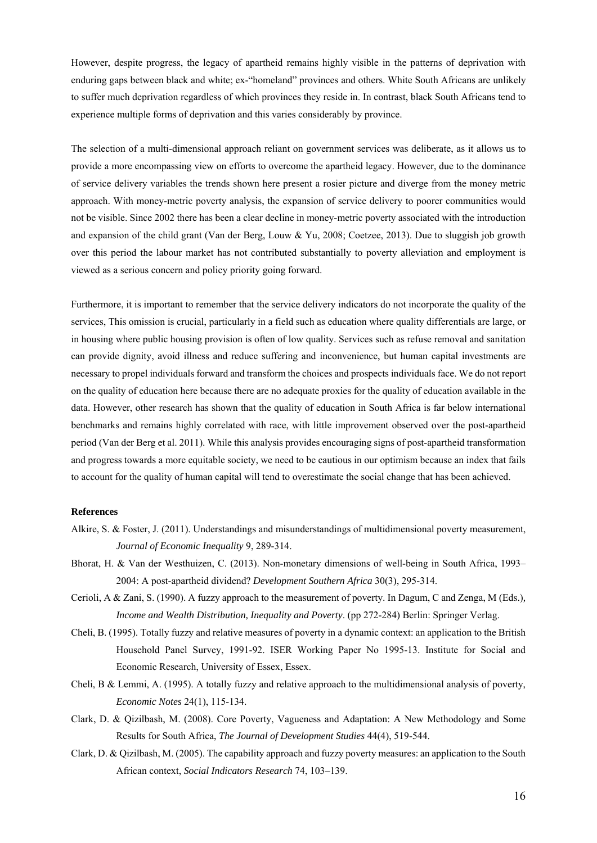However, despite progress, the legacy of apartheid remains highly visible in the patterns of deprivation with enduring gaps between black and white; ex-"homeland" provinces and others. White South Africans are unlikely to suffer much deprivation regardless of which provinces they reside in. In contrast, black South Africans tend to experience multiple forms of deprivation and this varies considerably by province.

The selection of a multi-dimensional approach reliant on government services was deliberate, as it allows us to provide a more encompassing view on efforts to overcome the apartheid legacy. However, due to the dominance of service delivery variables the trends shown here present a rosier picture and diverge from the money metric approach. With money-metric poverty analysis, the expansion of service delivery to poorer communities would not be visible. Since 2002 there has been a clear decline in money-metric poverty associated with the introduction and expansion of the child grant (Van der Berg, Louw & Yu, 2008; Coetzee, 2013). Due to sluggish job growth over this period the labour market has not contributed substantially to poverty alleviation and employment is viewed as a serious concern and policy priority going forward.

Furthermore, it is important to remember that the service delivery indicators do not incorporate the quality of the services, This omission is crucial, particularly in a field such as education where quality differentials are large, or in housing where public housing provision is often of low quality. Services such as refuse removal and sanitation can provide dignity, avoid illness and reduce suffering and inconvenience, but human capital investments are necessary to propel individuals forward and transform the choices and prospects individuals face. We do not report on the quality of education here because there are no adequate proxies for the quality of education available in the data. However, other research has shown that the quality of education in South Africa is far below international benchmarks and remains highly correlated with race, with little improvement observed over the post-apartheid period (Van der Berg et al. 2011). While this analysis provides encouraging signs of post-apartheid transformation and progress towards a more equitable society, we need to be cautious in our optimism because an index that fails to account for the quality of human capital will tend to overestimate the social change that has been achieved.

#### **References**

- Alkire, S. & Foster, J. (2011). Understandings and misunderstandings of multidimensional poverty measurement, *Journal of Economic Inequality* 9, 289-314.
- Bhorat, H. & Van der Westhuizen, C. (2013). Non-monetary dimensions of well-being in South Africa, 1993– 2004: A post-apartheid dividend? *Development Southern Africa* 30(3), 295-314.
- Cerioli, A & Zani, S. (1990). A fuzzy approach to the measurement of poverty. In Dagum, C and Zenga, M (Eds.)*, Income and Wealth Distribution, Inequality and Poverty*. (pp 272-284) Berlin: Springer Verlag.
- Cheli, B. (1995). Totally fuzzy and relative measures of poverty in a dynamic context: an application to the British Household Panel Survey, 1991-92. ISER Working Paper No 1995-13. Institute for Social and Economic Research, University of Essex, Essex.
- Cheli, B & Lemmi, A. (1995). A totally fuzzy and relative approach to the multidimensional analysis of poverty, *Economic Notes* 24(1), 115-134.
- Clark, D. & Qizilbash, M. (2008). Core Poverty, Vagueness and Adaptation: A New Methodology and Some Results for South Africa, *The Journal of Development Studies* 44(4), 519-544.
- Clark, D. & Qizilbash, M. (2005). The capability approach and fuzzy poverty measures: an application to the South African context, *Social Indicators Research* 74, 103–139.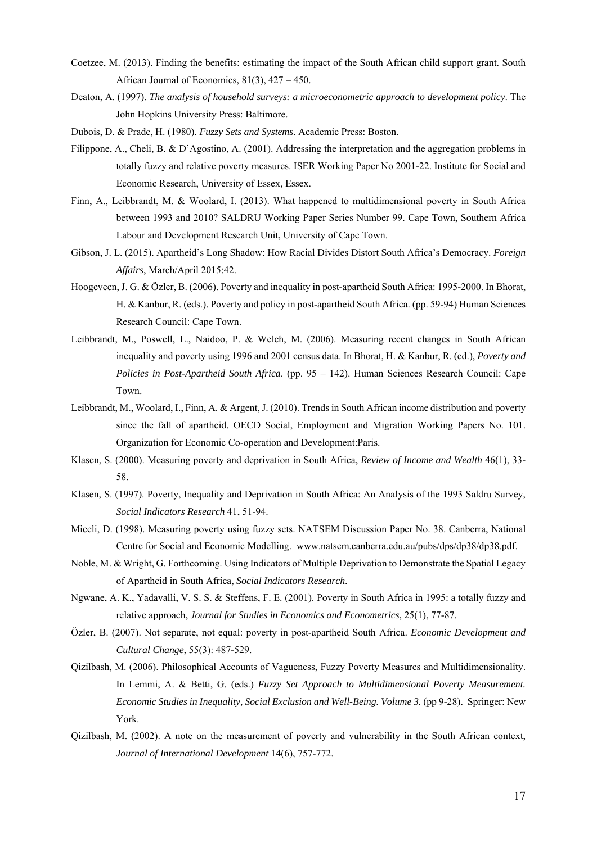- Coetzee, M. (2013). Finding the benefits: estimating the impact of the South African child support grant. South African Journal of Economics, 81(3), 427 – 450.
- Deaton, A. (1997). *The analysis of household surveys: a microeconometric approach to development policy*. The John Hopkins University Press: Baltimore.
- Dubois, D. & Prade, H. (1980). *Fuzzy Sets and Systems*. Academic Press: Boston.
- Filippone, A., Cheli, B. & D'Agostino, A. (2001). Addressing the interpretation and the aggregation problems in totally fuzzy and relative poverty measures. ISER Working Paper No 2001-22. Institute for Social and Economic Research, University of Essex, Essex.
- Finn, A., Leibbrandt, M. & Woolard, I. (2013). What happened to multidimensional poverty in South Africa between 1993 and 2010? SALDRU Working Paper Series Number 99. Cape Town, Southern Africa Labour and Development Research Unit, University of Cape Town.
- Gibson, J. L. (2015). Apartheid's Long Shadow: How Racial Divides Distort South Africa's Democracy. *Foreign Affairs*, March/April 2015:42.
- Hoogeveen, J. G. & Özler, B. (2006). Poverty and inequality in post-apartheid South Africa: 1995-2000. In Bhorat, H. & Kanbur, R. (eds.). Poverty and policy in post-apartheid South Africa. (pp. 59-94) Human Sciences Research Council: Cape Town.
- Leibbrandt, M., Poswell, L., Naidoo, P. & Welch, M. (2006). Measuring recent changes in South African inequality and poverty using 1996 and 2001 census data. In Bhorat, H. & Kanbur, R. (ed.), *Poverty and Policies in Post-Apartheid South Africa*. (pp. 95 – 142). Human Sciences Research Council: Cape Town.
- Leibbrandt, M., Woolard, I., Finn, A. & Argent, J. (2010). Trends in South African income distribution and poverty since the fall of apartheid. OECD Social, Employment and Migration Working Papers No. 101. Organization for Economic Co-operation and Development:Paris.
- Klasen, S. (2000). Measuring poverty and deprivation in South Africa, *Review of Income and Wealth* 46(1), 33- 58.
- Klasen, S. (1997). Poverty, Inequality and Deprivation in South Africa: An Analysis of the 1993 Saldru Survey, *Social Indicators Research* 41, 51-94.
- Miceli, D. (1998). Measuring poverty using fuzzy sets. NATSEM Discussion Paper No. 38. Canberra, National Centre for Social and Economic Modelling. www.natsem.canberra.edu.au/pubs/dps/dp38/dp38.pdf.
- Noble, M. & Wright, G. Forthcoming. Using Indicators of Multiple Deprivation to Demonstrate the Spatial Legacy of Apartheid in South Africa, *Social Indicators Research*.
- Ngwane, A. K., Yadavalli, V. S. S. & Steffens, F. E. (2001). Poverty in South Africa in 1995: a totally fuzzy and relative approach, *Journal for Studies in Economics and Econometrics*, 25(1), 77-87.
- Özler, B. (2007). Not separate, not equal: poverty in post-apartheid South Africa. *Economic Development and Cultural Change*, 55(3): 487-529.
- Qizilbash, M. (2006). Philosophical Accounts of Vagueness, Fuzzy Poverty Measures and Multidimensionality. In Lemmi, A. & Betti, G. (eds.) *Fuzzy Set Approach to Multidimensional Poverty Measurement. Economic Studies in Inequality, Social Exclusion and Well-Being. Volume 3.* (pp 9-28). Springer: New York.
- Qizilbash, M. (2002). A note on the measurement of poverty and vulnerability in the South African context, *Journal of International Development* 14(6), 757-772.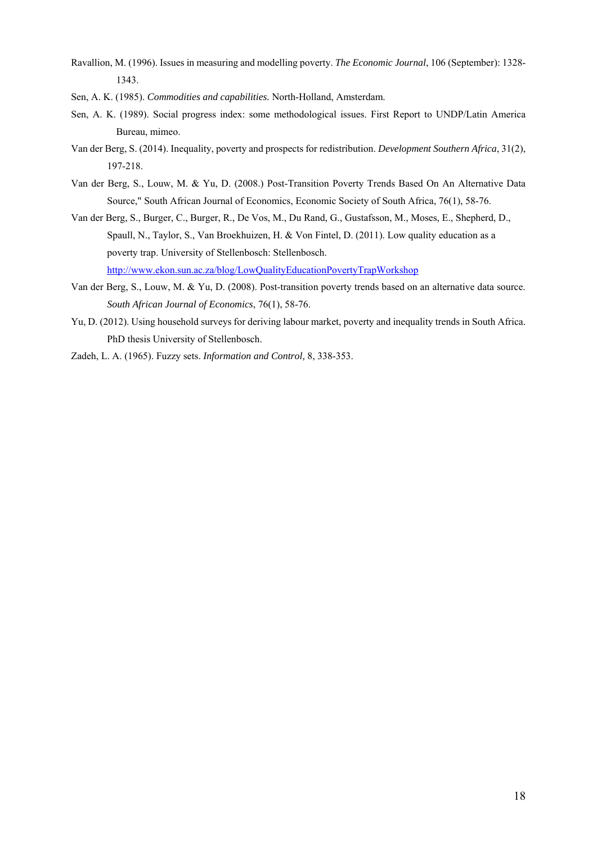- Ravallion, M. (1996). Issues in measuring and modelling poverty. *The Economic Journal*, 106 (September): 1328- 1343.
- Sen, A. K. (1985). *Commodities and capabilities.* North-Holland, Amsterdam.
- Sen, A. K. (1989). Social progress index: some methodological issues. First Report to UNDP/Latin America Bureau, mimeo.
- Van der Berg, S. (2014). Inequality, poverty and prospects for redistribution. *Development Southern Africa*, 31(2), 197-218.
- Van der Berg, S., Louw, M. & Yu, D. (2008.) Post-Transition Poverty Trends Based On An Alternative Data Source," South African Journal of Economics, Economic Society of South Africa, 76(1), 58-76.
- Van der Berg, S., Burger, C., Burger, R., De Vos, M., Du Rand, G., Gustafsson, M., Moses, E., Shepherd, D., Spaull, N., Taylor, S., Van Broekhuizen, H. & Von Fintel, D. (2011). Low quality education as a poverty trap. University of Stellenbosch: Stellenbosch. http://www.ekon.sun.ac.za/blog/LowQualityEducationPovertyTrapWorkshop
- Van der Berg, S., Louw, M. & Yu, D. (2008). Post-transition poverty trends based on an alternative data source. *South African Journal of Economics*, 76(1), 58-76.
- Yu, D. (2012). Using household surveys for deriving labour market, poverty and inequality trends in South Africa. PhD thesis University of Stellenbosch.
- Zadeh, L. A. (1965). Fuzzy sets. *Information and Control,* 8, 338-353.